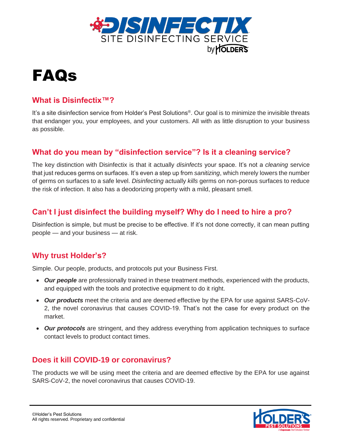

# FAQs

## **What is Disinfectix™?**

It's a site disinfection service from Holder's Pest Solutions®. Our goal is to minimize the invisible threats that endanger you, your employees, and your customers. All with as little disruption to your business as possible.

# **What do you mean by "disinfection service"? Is it a cleaning service?**

The key distinction with Disinfectix is that it actually *disinfects* your space. It's not a *cleaning* service that just reduces germs on surfaces. It's even a step up from *sanitizing*, which merely lowers the number of germs on surfaces to a safe level. *Disinfecting* actually *kills* germs on non-porous surfaces to reduce the risk of infection. It also has a deodorizing property with a mild, pleasant smell.

# **Can't I just disinfect the building myself? Why do I need to hire a pro?**

Disinfection is simple, but must be precise to be effective. If it's not done correctly, it can mean putting people — and your business — at risk.

# **Why trust Holder's?**

Simple. Our people, products, and protocols put your Business First.

- Our people are professionally trained in these treatment methods, experienced with the products, and equipped with the tools and protective equipment to do it right.
- *Our products* meet the criteria and are deemed effective by the EPA for use against SARS-CoV-2, the novel coronavirus that causes COVID-19. That's not the case for every product on the market.
- *Our protocols* are stringent, and they address everything from application techniques to surface contact levels to product contact times.

## **Does it kill COVID-19 or coronavirus?**

The products we will be using meet the criteria and are deemed effective by the EPA for use against SARS-CoV-2, the novel coronavirus that causes COVID-19.